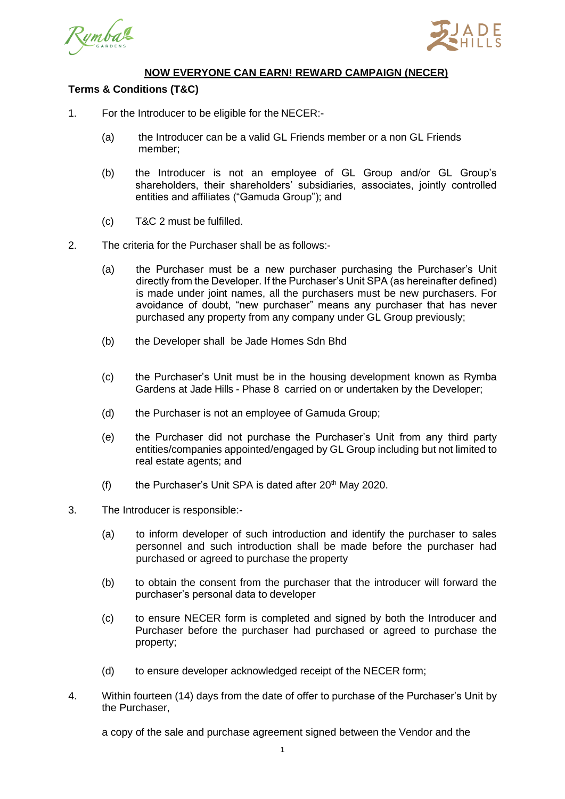



## **NOW EVERYONE CAN EARN! REWARD CAMPAIGN (NECER)**

## **Terms & Conditions (T&C)**

- 1. For the Introducer to be eligible for the NECER:-
	- (a) the Introducer can be a valid GL Friends member or a non GL Friends member;
	- (b) the Introducer is not an employee of GL Group and/or GL Group's shareholders, their shareholders' subsidiaries, associates, jointly controlled entities and affiliates ("Gamuda Group"); and
	- (c) T&C 2 must be fulfilled.
- 2. The criteria for the Purchaser shall be as follows:-
	- (a) the Purchaser must be a new purchaser purchasing the Purchaser's Unit directly from the Developer. If the Purchaser's Unit SPA (as hereinafter defined) is made under joint names, all the purchasers must be new purchasers. For avoidance of doubt, "new purchaser" means any purchaser that has never purchased any property from any company under GL Group previously;
	- (b) the Developer shall be Jade Homes Sdn Bhd
	- (c) the Purchaser's Unit must be in the housing development known as Rymba Gardens at Jade Hills - Phase 8 carried on or undertaken by the Developer;
	- (d) the Purchaser is not an employee of Gamuda Group;
	- (e) the Purchaser did not purchase the Purchaser's Unit from any third party entities/companies appointed/engaged by GL Group including but not limited to real estate agents; and
	- (f) the Purchaser's Unit SPA is dated after  $20<sup>th</sup>$  May 2020.
- 3. The Introducer is responsible:-
	- (a) to inform developer of such introduction and identify the purchaser to sales personnel and such introduction shall be made before the purchaser had purchased or agreed to purchase the property
	- (b) to obtain the consent from the purchaser that the introducer will forward the purchaser's personal data to developer
	- (c) to ensure NECER form is completed and signed by both the Introducer and Purchaser before the purchaser had purchased or agreed to purchase the property;
	- (d) to ensure developer acknowledged receipt of the NECER form;
- 4. Within fourteen (14) days from the date of offer to purchase of the Purchaser's Unit by the Purchaser,

a copy of the sale and purchase agreement signed between the Vendor and the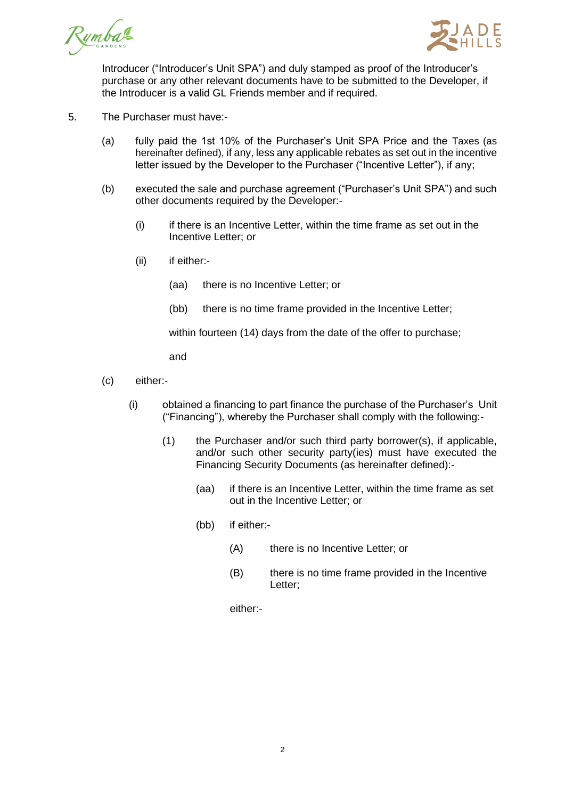



Introducer ("Introducer's Unit SPA") and duly stamped as proof of the Introducer's purchase or any other relevant documents have to be submitted to the Developer, if the Introducer is a valid GL Friends member and if required.

- 5. The Purchaser must have:-
	- (a) fully paid the 1st 10% of the Purchaser's Unit SPA Price and the Taxes (as hereinafter defined), if any, less any applicable rebates as set out in the incentive letter issued by the Developer to the Purchaser ("Incentive Letter"), if any;
	- (b) executed the sale and purchase agreement ("Purchaser's Unit SPA") and such other documents required by the Developer:-
		- (i) if there is an Incentive Letter, within the time frame as set out in the Incentive Letter; or
		- (ii) if either:-
			- (aa) there is no Incentive Letter; or
			- (bb) there is no time frame provided in the Incentive Letter;

within fourteen (14) days from the date of the offer to purchase;

and

- (c) either:-
	- (i) obtained a financing to part finance the purchase of the Purchaser's Unit ("Financing"), whereby the Purchaser shall comply with the following:-
		- (1) the Purchaser and/or such third party borrower(s), if applicable, and/or such other security party(ies) must have executed the Financing Security Documents (as hereinafter defined):-
			- (aa) if there is an Incentive Letter, within the time frame as set out in the Incentive Letter; or
			- (bb) if either:-
				- (A) there is no Incentive Letter; or
				- (B) there is no time frame provided in the Incentive Letter;

either:-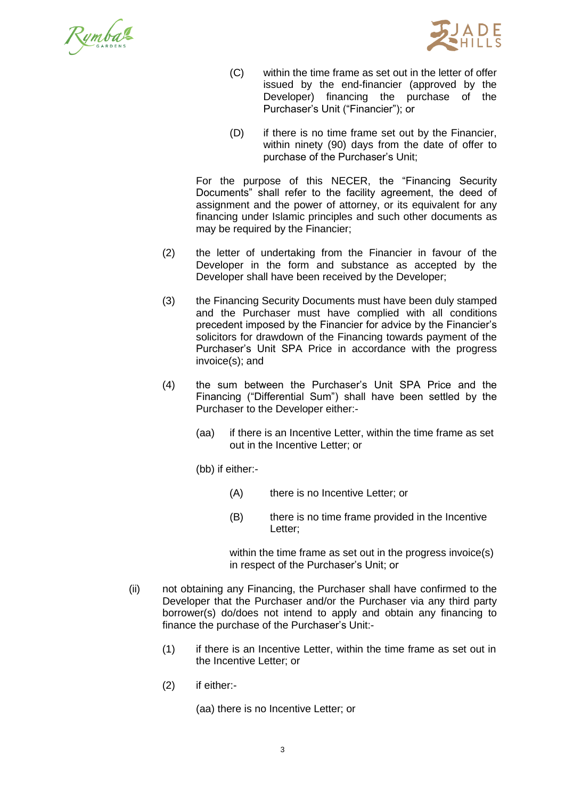



- (C) within the time frame as set out in the letter of offer issued by the end-financier (approved by the Developer) financing the purchase of the Purchaser's Unit ("Financier"); or
- (D) if there is no time frame set out by the Financier, within ninety (90) days from the date of offer to purchase of the Purchaser's Unit;

For the purpose of this NECER, the "Financing Security Documents" shall refer to the facility agreement, the deed of assignment and the power of attorney, or its equivalent for any financing under Islamic principles and such other documents as may be required by the Financier;

- (2) the letter of undertaking from the Financier in favour of the Developer in the form and substance as accepted by the Developer shall have been received by the Developer;
- (3) the Financing Security Documents must have been duly stamped and the Purchaser must have complied with all conditions precedent imposed by the Financier for advice by the Financier's solicitors for drawdown of the Financing towards payment of the Purchaser's Unit SPA Price in accordance with the progress invoice(s); and
- (4) the sum between the Purchaser's Unit SPA Price and the Financing ("Differential Sum") shall have been settled by the Purchaser to the Developer either:-
	- (aa) if there is an Incentive Letter, within the time frame as set out in the Incentive Letter; or

(bb) if either:-

- (A) there is no Incentive Letter; or
- (B) there is no time frame provided in the Incentive Letter;

within the time frame as set out in the progress invoice(s) in respect of the Purchaser's Unit; or

- (ii) not obtaining any Financing, the Purchaser shall have confirmed to the Developer that the Purchaser and/or the Purchaser via any third party borrower(s) do/does not intend to apply and obtain any financing to finance the purchase of the Purchaser's Unit:-
	- (1) if there is an Incentive Letter, within the time frame as set out in the Incentive Letter; or
	- (2) if either:-

(aa) there is no Incentive Letter; or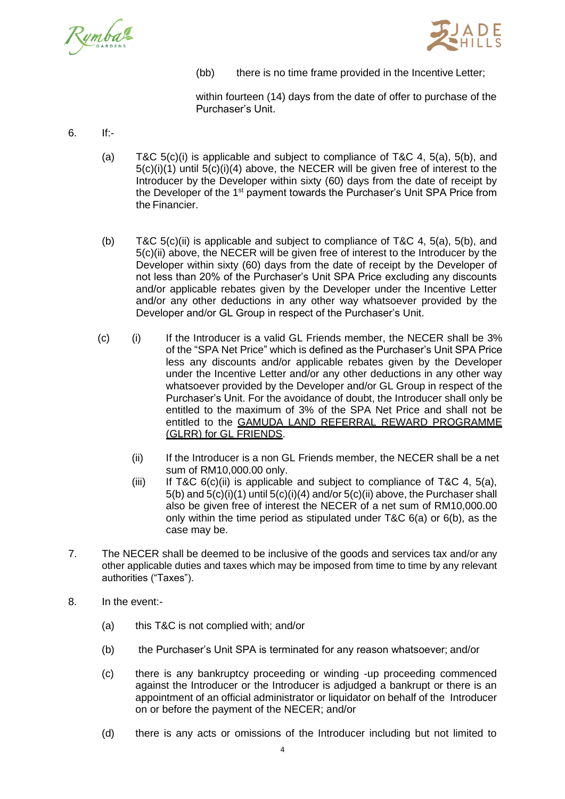



(bb) there is no time frame provided in the Incentive Letter;

within fourteen (14) days from the date of offer to purchase of the Purchaser's Unit.

- 6. If:-
	- (a) T&C  $5(c)(i)$  is applicable and subject to compliance of T&C 4,  $5(a)$ ,  $5(b)$ , and 5(c)(i)(1) until 5(c)(i)(4) above, the NECER will be given free of interest to the Introducer by the Developer within sixty (60) days from the date of receipt by the Developer of the 1<sup>st</sup> payment towards the Purchaser's Unit SPA Price from the Financier.
	- (b) T&C 5(c)(ii) is applicable and subject to compliance of T&C 4, 5(a), 5(b), and 5(c)(ii) above, the NECER will be given free of interest to the Introducer by the Developer within sixty (60) days from the date of receipt by the Developer of not less than 20% of the Purchaser's Unit SPA Price excluding any discounts and/or applicable rebates given by the Developer under the Incentive Letter and/or any other deductions in any other way whatsoever provided by the Developer and/or GL Group in respect of the Purchaser's Unit.
	- (c) (i) If the Introducer is a valid GL Friends member, the NECER shall be 3% of the "SPA Net Price" which is defined as the Purchaser's Unit SPA Price less any discounts and/or applicable rebates given by the Developer under the Incentive Letter and/or any other deductions in any other way whatsoever provided by the Developer and/or GL Group in respect of the Purchaser's Unit. For the avoidance of doubt, the Introducer shall only be entitled to the maximum of 3% of the SPA Net Price and shall not be entitled to the GAMUDA LAND REFERRAL REWARD PROGRAMME (GLRR) for GL FRIENDS.
		- (ii) If the Introducer is a non GL Friends member, the NECER shall be a net sum of RM10,000.00 only.
		- (iii) If T&C  $6(c)$ (ii) is applicable and subject to compliance of T&C 4,  $5(a)$ , 5(b) and 5(c)(i)(1) until 5(c)(i)(4) and/or 5(c)(ii) above, the Purchaser shall also be given free of interest the NECER of a net sum of RM10,000.00 only within the time period as stipulated under T&C 6(a) or 6(b), as the case may be.
- 7. The NECER shall be deemed to be inclusive of the goods and services tax and/or any other applicable duties and taxes which may be imposed from time to time by any relevant authorities ("Taxes").
- 8. In the event:-
	- (a) this T&C is not complied with; and/or
	- (b) the Purchaser's Unit SPA is terminated for any reason whatsoever; and/or
	- (c) there is any bankruptcy proceeding or winding -up proceeding commenced against the Introducer or the Introducer is adjudged a bankrupt or there is an appointment of an official administrator or liquidator on behalf of the Introducer on or before the payment of the NECER; and/or
	- (d) there is any acts or omissions of the Introducer including but not limited to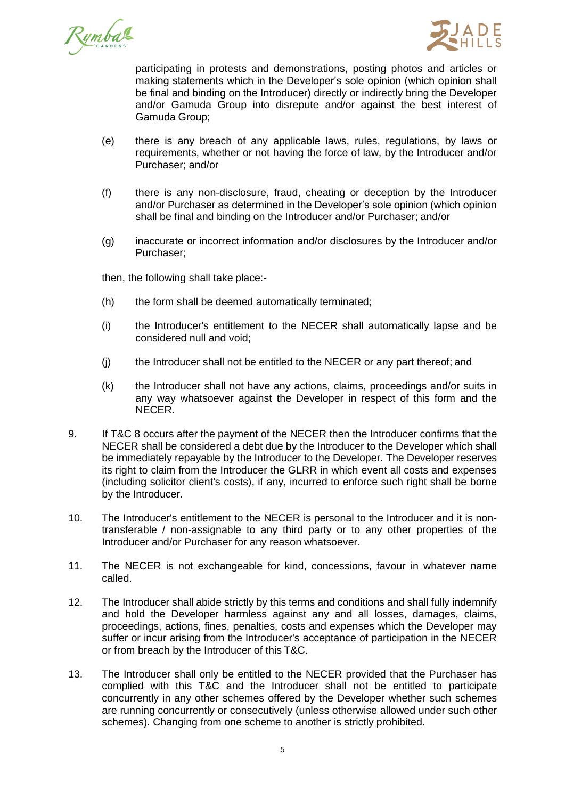



participating in protests and demonstrations, posting photos and articles or making statements which in the Developer's sole opinion (which opinion shall be final and binding on the Introducer) directly or indirectly bring the Developer and/or Gamuda Group into disrepute and/or against the best interest of Gamuda Group;

- (e) there is any breach of any applicable laws, rules, regulations, by laws or requirements, whether or not having the force of law, by the Introducer and/or Purchaser; and/or
- (f) there is any non-disclosure, fraud, cheating or deception by the Introducer and/or Purchaser as determined in the Developer's sole opinion (which opinion shall be final and binding on the Introducer and/or Purchaser; and/or
- (g) inaccurate or incorrect information and/or disclosures by the Introducer and/or Purchaser;

then, the following shall take place:-

- (h) the form shall be deemed automatically terminated;
- (i) the Introducer's entitlement to the NECER shall automatically lapse and be considered null and void;
- (j) the Introducer shall not be entitled to the NECER or any part thereof; and
- (k) the Introducer shall not have any actions, claims, proceedings and/or suits in any way whatsoever against the Developer in respect of this form and the NECER.
- 9. If T&C 8 occurs after the payment of the NECER then the Introducer confirms that the NECER shall be considered a debt due by the Introducer to the Developer which shall be immediately repayable by the Introducer to the Developer. The Developer reserves its right to claim from the Introducer the GLRR in which event all costs and expenses (including solicitor client's costs), if any, incurred to enforce such right shall be borne by the Introducer.
- 10. The Introducer's entitlement to the NECER is personal to the Introducer and it is nontransferable / non-assignable to any third party or to any other properties of the Introducer and/or Purchaser for any reason whatsoever.
- 11. The NECER is not exchangeable for kind, concessions, favour in whatever name called.
- 12. The Introducer shall abide strictly by this terms and conditions and shall fully indemnify and hold the Developer harmless against any and all losses, damages, claims, proceedings, actions, fines, penalties, costs and expenses which the Developer may suffer or incur arising from the Introducer's acceptance of participation in the NECER or from breach by the Introducer of this T&C.
- 13. The Introducer shall only be entitled to the NECER provided that the Purchaser has complied with this T&C and the Introducer shall not be entitled to participate concurrently in any other schemes offered by the Developer whether such schemes are running concurrently or consecutively (unless otherwise allowed under such other schemes). Changing from one scheme to another is strictly prohibited.